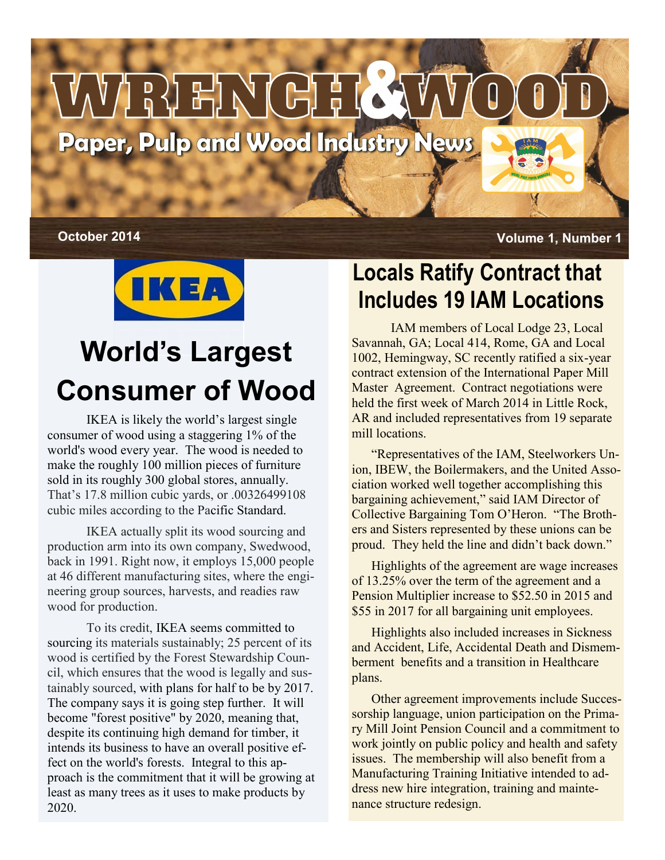



# **World's Largest Consumer of Wood**

IKEA is likely the world's largest single consumer of wood using a staggering 1% of the world's wood every year. The wood is needed to make the roughly 100 million pieces of furniture sold in its roughly 300 global stores, annually. That's 17.8 million cubic yards, or .00326499108 cubic miles according to the Pacific Standard.

IKEA actually split its wood sourcing and production arm into its own company, Swedwood, back in 1991. Right now, it employs 15,000 people at 46 different manufacturing sites, where the engineering group sources, harvests, and readies raw wood for production.

To its credit, IKEA [seems committed](http://www.ikea.com/ms/en_US/about_ikea/facts_and_figures/sustainability_report/sustainability_report_2012.html) to sourcing its materials sustainably; 25 percent of its wood is certified by the Forest Stewardship Council, which ensures that the wood is legally and sustainably sourced, with plans for half to be by 2017. The company says it is going step further. It will become "forest positive" by 2020, meaning that, despite its continuing high demand for timber, it intends its business to have an overall positive effect on the world's forests. Integral to this approach is the commitment that it will be growing at least as many trees as it uses to make products by 2020.

### **Locals Ratify Contract that Includes 19 IAM Locations**

IAM members of Local Lodge 23, Local Savannah, GA; Local 414, Rome, GA and Local 1002, Hemingway, SC recently ratified a six-year contract extension of the International Paper Mill Master Agreement. Contract negotiations were held the first week of March 2014 in Little Rock, AR and included representatives from 19 separate mill locations.

"Representatives of the IAM, Steelworkers Union, IBEW, the Boilermakers, and the United Association worked well together accomplishing this bargaining achievement," said IAM Director of Collective Bargaining Tom O'Heron. "The Brothers and Sisters represented by these unions can be proud. They held the line and didn't back down."

Highlights of the agreement are wage increases of 13.25% over the term of the agreement and a Pension Multiplier increase to \$52.50 in 2015 and \$55 in 2017 for all bargaining unit employees.

Highlights also included increases in Sickness and Accident, Life, Accidental Death and Dismemberment benefits and a transition in Healthcare plans.

Other agreement improvements include Successorship language, union participation on the Primary Mill Joint Pension Council and a commitment to work jointly on public policy and health and safety issues. The membership will also benefit from a Manufacturing Training Initiative intended to address new hire integration, training and maintenance structure redesign.